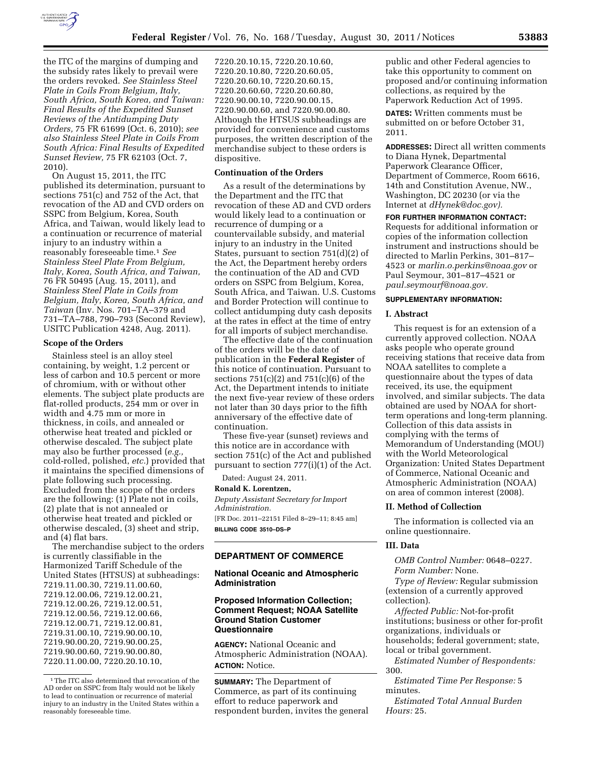

the ITC of the margins of dumping and the subsidy rates likely to prevail were the orders revoked. *See Stainless Steel Plate in Coils From Belgium, Italy, South Africa, South Korea, and Taiwan: Final Results of the Expedited Sunset Reviews of the Antidumping Duty Orders,* 75 FR 61699 (Oct. 6, 2010); *see also Stainless Steel Plate in Coils From South Africa: Final Results of Expedited Sunset Review,* 75 FR 62103 (Oct. 7, 2010).

On August 15, 2011, the ITC published its determination, pursuant to sections 751(c) and 752 of the Act, that revocation of the AD and CVD orders on SSPC from Belgium, Korea, South Africa, and Taiwan, would likely lead to a continuation or recurrence of material injury to an industry within a reasonably foreseeable time.1 *See Stainless Steel Plate From Belgium, Italy, Korea, South Africa, and Taiwan,*  76 FR 50495 (Aug. 15, 2011), and *Stainless Steel Plate in Coils from Belgium, Italy, Korea, South Africa, and Taiwan* (Inv. Nos. 701–TA–379 and 731–TA–788, 790–793 (Second Review), USITC Publication 4248, Aug. 2011).

#### **Scope of the Orders**

Stainless steel is an alloy steel containing, by weight, 1.2 percent or less of carbon and 10.5 percent or more of chromium, with or without other elements. The subject plate products are flat-rolled products, 254 mm or over in width and 4.75 mm or more in thickness, in coils, and annealed or otherwise heat treated and pickled or otherwise descaled. The subject plate may also be further processed (*e.g.,*  cold-rolled, polished, *etc.*) provided that it maintains the specified dimensions of plate following such processing. Excluded from the scope of the orders are the following: (1) Plate not in coils, (2) plate that is not annealed or otherwise heat treated and pickled or otherwise descaled, (3) sheet and strip, and (4) flat bars.

The merchandise subject to the orders is currently classifiable in the Harmonized Tariff Schedule of the United States (HTSUS) at subheadings: 7219.11.00.30, 7219.11.00.60, 7219.12.00.06, 7219.12.00.21, 7219.12.00.26, 7219.12.00.51, 7219.12.00.56, 7219.12.00.66, 7219.12.00.71, 7219.12.00.81, 7219.31.00.10, 7219.90.00.10, 7219.90.00.20, 7219.90.00.25, 7219.90.00.60, 7219.90.00.80, 7220.11.00.00, 7220.20.10.10,

7220.20.10.15, 7220.20.10.60, 7220.20.10.80, 7220.20.60.05, 7220.20.60.10, 7220.20.60.15, 7220.20.60.60, 7220.20.60.80, 7220.90.00.10, 7220.90.00.15, 7220.90.00.60, and 7220.90.00.80. Although the HTSUS subheadings are provided for convenience and customs purposes, the written description of the merchandise subject to these orders is dispositive.

#### **Continuation of the Orders**

As a result of the determinations by the Department and the ITC that revocation of these AD and CVD orders would likely lead to a continuation or recurrence of dumping or a countervailable subsidy, and material injury to an industry in the United States, pursuant to section 751(d)(2) of the Act, the Department hereby orders the continuation of the AD and CVD orders on SSPC from Belgium, Korea, South Africa, and Taiwan. U.S. Customs and Border Protection will continue to collect antidumping duty cash deposits at the rates in effect at the time of entry for all imports of subject merchandise.

The effective date of the continuation of the orders will be the date of publication in the **Federal Register** of this notice of continuation. Pursuant to sections 751(c)(2) and 751(c)(6) of the Act, the Department intends to initiate the next five-year review of these orders not later than 30 days prior to the fifth anniversary of the effective date of continuation.

These five-year (sunset) reviews and this notice are in accordance with section 751(c) of the Act and published pursuant to section 777(i)(1) of the Act.

Dated: August 24, 2011.

# **Ronald K. Lorentzen,**  *Deputy Assistant Secretary for Import Administration.*

[FR Doc. 2011–22151 Filed 8–29–11; 8:45 am] **BILLING CODE 3510–DS–P** 

## **DEPARTMENT OF COMMERCE**

## **National Oceanic and Atmospheric Administration**

### **Proposed Information Collection; Comment Request; NOAA Satellite Ground Station Customer Questionnaire**

**AGENCY:** National Oceanic and Atmospheric Administration (NOAA). **ACTION:** Notice.

**SUMMARY:** The Department of Commerce, as part of its continuing effort to reduce paperwork and respondent burden, invites the general

public and other Federal agencies to take this opportunity to comment on proposed and/or continuing information collections, as required by the Paperwork Reduction Act of 1995.

**DATES:** Written comments must be submitted on or before October 31, 2011.

**ADDRESSES:** Direct all written comments to Diana Hynek, Departmental Paperwork Clearance Officer, Department of Commerce, Room 6616, 14th and Constitution Avenue, NW., Washington, DC 20230 (or via the Internet at *[dHynek@doc.gov\).](mailto:dHynek@doc.gov)* 

**FOR FURTHER INFORMATION CONTACT:**  Requests for additional information or copies of the information collection instrument and instructions should be directed to Marlin Perkins, 301–817– 4523 or *[marlin.o.perkins@noaa.gov](mailto:marlin.o.perkins@noaa.gov)* or Paul Seymour, 301–817–4521 or *[paul.seymourf@noaa.gov.](mailto:paul.seymourf@noaa.gov)* 

## **SUPPLEMENTARY INFORMATION:**

### **I. Abstract**

This request is for an extension of a currently approved collection. NOAA asks people who operate ground receiving stations that receive data from NOAA satellites to complete a questionnaire about the types of data received, its use, the equipment involved, and similar subjects. The data obtained are used by NOAA for shortterm operations and long-term planning. Collection of this data assists in complying with the terms of Memorandum of Understanding (MOU) with the World Meteorological Organization: United States Department of Commerce, National Oceanic and Atmospheric Administration (NOAA) on area of common interest (2008).

#### **II. Method of Collection**

The information is collected via an online questionnaire.

### **III. Data**

*OMB Control Number:* 0648–0227. *Form Number:* None.

*Type of Review:* Regular submission (extension of a currently approved collection).

*Affected Public:* Not-for-profit institutions; business or other for-profit organizations, individuals or households; federal government; state, local or tribal government.

*Estimated Number of Respondents:*  300.

*Estimated Time Per Response:* 5 minutes.

*Estimated Total Annual Burden Hours:* 25.

<sup>1</sup>The ITC also determined that revocation of the AD order on SSPC from Italy would not be likely to lead to continuation or recurrence of material injury to an industry in the United States within a reasonably foreseeable time.